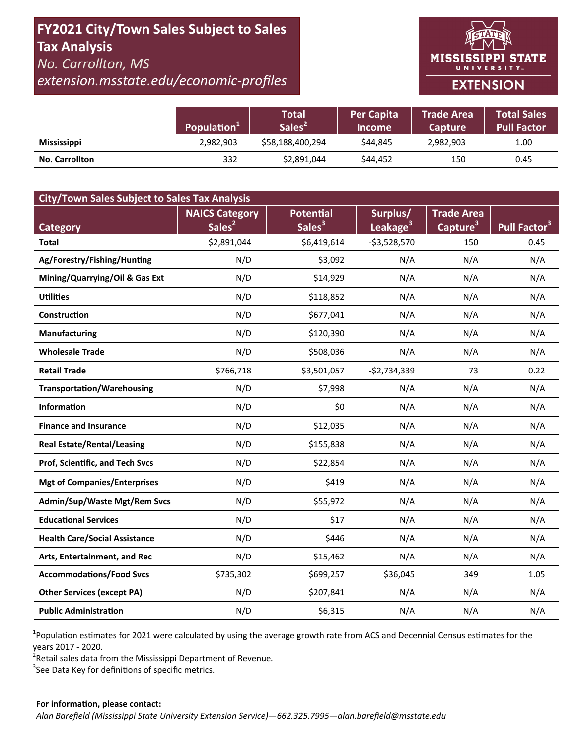# **FY2021 City/Town Sales Subject to Sales Tax Analysis**  *No. Carrollton, MS extension.msstate.edu/economic‐profiles*

**MISSISSIPPI STATE** UNIVERSITY<sub>w</sub>

## **EXTENSION**

|                       | Population <sup>1</sup> | Total<br>Sales <sup>2</sup> | <b>Per Capita</b><br><b>Income</b> | <b>Trade Area</b><br><b>Capture</b> | <b>Total Sales</b><br>Pull Factor |
|-----------------------|-------------------------|-----------------------------|------------------------------------|-------------------------------------|-----------------------------------|
| <b>Mississippi</b>    | 2,982,903               | \$58,188,400,294            | \$44.845                           | 2,982,903                           | 1.00                              |
| <b>No. Carrollton</b> | 332                     | \$2,891,044                 | \$44,452                           | 150                                 | 0.45                              |

| <b>City/Town Sales Subject to Sales Tax Analysis</b> |                       |                    |                      |                      |                          |  |  |  |  |
|------------------------------------------------------|-----------------------|--------------------|----------------------|----------------------|--------------------------|--|--|--|--|
|                                                      | <b>NAICS Category</b> | <b>Potential</b>   | Surplus/             | <b>Trade Area</b>    |                          |  |  |  |  |
| <b>Category</b>                                      | Sales <sup>2</sup>    | Sales <sup>3</sup> | Leakage <sup>3</sup> | Capture <sup>3</sup> | Pull Factor <sup>3</sup> |  |  |  |  |
| <b>Total</b>                                         | \$2,891,044           | \$6,419,614        | $-53,528,570$        | 150                  | 0.45                     |  |  |  |  |
| Ag/Forestry/Fishing/Hunting                          | N/D                   | \$3,092            | N/A                  | N/A                  | N/A                      |  |  |  |  |
| Mining/Quarrying/Oil & Gas Ext                       | N/D                   | \$14,929           | N/A                  | N/A                  | N/A                      |  |  |  |  |
| <b>Utilities</b>                                     | N/D                   | \$118,852          | N/A                  | N/A                  | N/A                      |  |  |  |  |
| Construction                                         | N/D                   | \$677,041          | N/A                  | N/A                  | N/A                      |  |  |  |  |
| <b>Manufacturing</b>                                 | N/D                   | \$120,390          | N/A                  | N/A                  | N/A                      |  |  |  |  |
| <b>Wholesale Trade</b>                               | N/D                   | \$508,036          | N/A                  | N/A                  | N/A                      |  |  |  |  |
| <b>Retail Trade</b>                                  | \$766,718             | \$3,501,057        | $-$2,734,339$        | 73                   | 0.22                     |  |  |  |  |
| <b>Transportation/Warehousing</b>                    | N/D                   | \$7,998            | N/A                  | N/A                  | N/A                      |  |  |  |  |
| <b>Information</b>                                   | N/D                   | \$0                | N/A                  | N/A                  | N/A                      |  |  |  |  |
| <b>Finance and Insurance</b>                         | N/D                   | \$12,035           | N/A                  | N/A                  | N/A                      |  |  |  |  |
| <b>Real Estate/Rental/Leasing</b>                    | N/D                   | \$155,838          | N/A                  | N/A                  | N/A                      |  |  |  |  |
| Prof, Scientific, and Tech Svcs                      | N/D                   | \$22,854           | N/A                  | N/A                  | N/A                      |  |  |  |  |
| <b>Mgt of Companies/Enterprises</b>                  | N/D                   | \$419              | N/A                  | N/A                  | N/A                      |  |  |  |  |
| Admin/Sup/Waste Mgt/Rem Svcs                         | N/D                   | \$55,972           | N/A                  | N/A                  | N/A                      |  |  |  |  |
| <b>Educational Services</b>                          | N/D                   | \$17               | N/A                  | N/A                  | N/A                      |  |  |  |  |
| <b>Health Care/Social Assistance</b>                 | N/D                   | \$446              | N/A                  | N/A                  | N/A                      |  |  |  |  |
| Arts, Entertainment, and Rec                         | N/D                   | \$15,462           | N/A                  | N/A                  | N/A                      |  |  |  |  |
| <b>Accommodations/Food Svcs</b>                      | \$735,302             | \$699,257          | \$36,045             | 349                  | 1.05                     |  |  |  |  |
| <b>Other Services (except PA)</b>                    | N/D                   | \$207,841          | N/A                  | N/A                  | N/A                      |  |  |  |  |
| <b>Public Administration</b>                         | N/D                   | \$6,315            | N/A                  | N/A                  | N/A                      |  |  |  |  |

<sup>1</sup>Population estimates for 2021 were calculated by using the average growth rate from ACS and Decennial Census estimates for the years 2017 ‐ 2020.

2 Retail sales data from the Mississippi Department of Revenue*.* 

 $3$ See Data Key for definitions of specific metrics.

#### **For informaƟon, please contact:**  *Alan Barefield (Mississippi State University Extension Service)—662.325.7995—alan.barefield@msstate.edu*